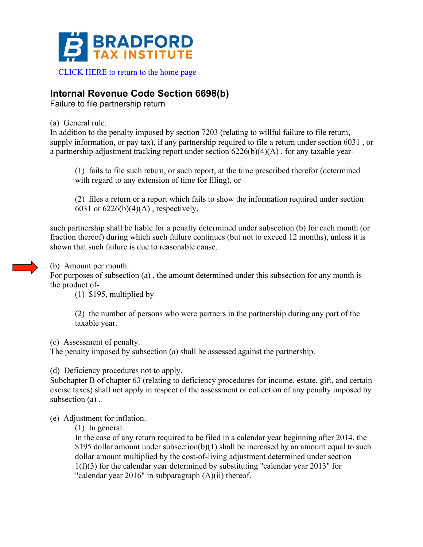

## **Internal Revenue Code Section 6698(b)**

Failure to file partnership return

(a) General rule.

In addition to the penalty imposed by section 7203 (relating to willful failure to file return, supply information, or pay tax), if any partnership required to file a return under section 6031 , or a partnership adjustment tracking report under section 6226(b)(4)(A) , for any taxable year-

(1) fails to file such return, or such report, at the time prescribed therefor (determined with regard to any extension of time for filing), or

(2) files a return or a report which fails to show the information required under section 6031 or  $6226(b)(4)(A)$ , respectively,

such partnership shall be liable for a penalty determined under subsection (b) for each month (or fraction thereof) during which such failure continues (but not to exceed 12 months), unless it is shown that such failure is due to reasonable cause.



(b) Amount per month.

For purposes of subsection (a) , the amount determined under this subsection for any month is the product of-

(1) \$195, multiplied by

(2) the number of persons who were partners in the partnership during any part of the taxable year.

(c) Assessment of penalty.

The penalty imposed by subsection (a) shall be assessed against the partnership.

(d) Deficiency procedures not to apply.

Subchapter B of chapter 63 (relating to deficiency procedures for income, estate, gift, and certain excise taxes) shall not apply in respect of the assessment or collection of any penalty imposed by subsection (a) .

(e) Adjustment for inflation.

(1) In general.

In the case of any return required to be filed in a calendar year beginning after 2014, the \$195 dollar amount under subsection(b)(1) shall be increased by an amount equal to such dollar amount multiplied by the cost-of-living adjustment determined under section 1(f)(3) for the calendar year determined by substituting "calendar year 2013" for "calendar year 2016" in subparagraph (A)(ii) thereof.